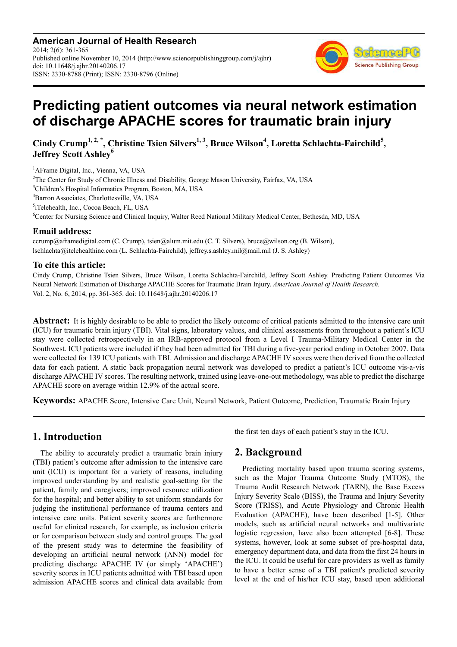**American Journal of Health Research** 2014; 2(6): 361-365 Published online November 10, 2014 (http://www.sciencepublishinggroup.com/j/ajhr) doi: 10.11648/j.ajhr.20140206.17 ISSN: 2330-8788 (Print); ISSN: 2330-8796 (Online)



# **Predicting patient outcomes via neural network estimation of discharge APACHE scores for traumatic brain injury**

**Cindy Crump1, 2, \*, Christine Tsien Silvers1, 3, Bruce Wilson<sup>4</sup> , Loretta Schlachta-Fairchild<sup>5</sup> , Jeffrey Scott Ashley<sup>6</sup>**

<sup>1</sup>AFrame Digital, Inc., Vienna, VA, USA <sup>2</sup>The Center for Study of Chronic Illness and Disability, George Mason University, Fairfax, VA, USA Children's Hospital Informatics Program, Boston, MA, USA Barron Associates, Charlottesville, VA, USA iTelehealth, Inc., Cocoa Beach, FL, USA Center for Nursing Science and Clinical Inquiry, Walter Reed National Military Medical Center, Bethesda, MD, USA

#### **Email address:**

ccrump@aframedigital.com (C. Crump), tsien@alum.mit.edu (C. T. Silvers), bruce@wilson.org (B. Wilson), lschlachta@itelehealthinc.com (L. Schlachta-Fairchild), jeffrey.s.ashley.mil@mail.mil (J. S. Ashley)

#### **To cite this article:**

Cindy Crump, Christine Tsien Silvers, Bruce Wilson, Loretta Schlachta-Fairchild, Jeffrey Scott Ashley. Predicting Patient Outcomes Via Neural Network Estimation of Discharge APACHE Scores for Traumatic Brain Injury. *American Journal of Health Research.*  Vol. 2, No. 6, 2014, pp. 361-365. doi: 10.11648/j.ajhr.20140206.17

**Abstract:** It is highly desirable to be able to predict the likely outcome of critical patients admitted to the intensive care unit (ICU) for traumatic brain injury (TBI). Vital signs, laboratory values, and clinical assessments from throughout a patient's ICU stay were collected retrospectively in an IRB-approved protocol from a Level I Trauma-Military Medical Center in the Southwest. ICU patients were included if they had been admitted for TBI during a five-year period ending in October 2007. Data were collected for 139 ICU patients with TBI. Admission and discharge APACHE IV scores were then derived from the collected data for each patient. A static back propagation neural network was developed to predict a patient's ICU outcome vis-a-vis discharge APACHE IV scores. The resulting network, trained using leave-one-out methodology, was able to predict the discharge APACHE score on average within 12.9% of the actual score.

**Keywords:** APACHE Score, Intensive Care Unit, Neural Network, Patient Outcome, Prediction, Traumatic Brain Injury

# **1. Introduction**

The ability to accurately predict a traumatic brain injury (TBI) patient's outcome after admission to the intensive care unit (ICU) is important for a variety of reasons, including improved understanding by and realistic goal-setting for the patient, family and caregivers; improved resource utilization for the hospital; and better ability to set uniform standards for judging the institutional performance of trauma centers and intensive care units. Patient severity scores are furthermore useful for clinical research, for example, as inclusion criteria or for comparison between study and control groups. The goal of the present study was to determine the feasibility of developing an artificial neural network (ANN) model for predicting discharge APACHE IV (or simply 'APACHE') severity scores in ICU patients admitted with TBI based upon admission APACHE scores and clinical data available from

the first ten days of each patient's stay in the ICU.

# **2. Background**

Predicting mortality based upon trauma scoring systems, such as the Major Trauma Outcome Study (MTOS), the Trauma Audit Research Network (TARN), the Base Excess Injury Severity Scale (BISS), the Trauma and Injury Severity Score (TRISS), and Acute Physiology and Chronic Health Evaluation (APACHE), have been described [1-5]. Other models, such as artificial neural networks and multivariate logistic regression, have also been attempted [6-8]. These systems, however, look at some subset of pre-hospital data, emergency department data, and data from the first 24 hours in the ICU. It could be useful for care providers as well as family to have a better sense of a TBI patient's predicted severity level at the end of his/her ICU stay, based upon additional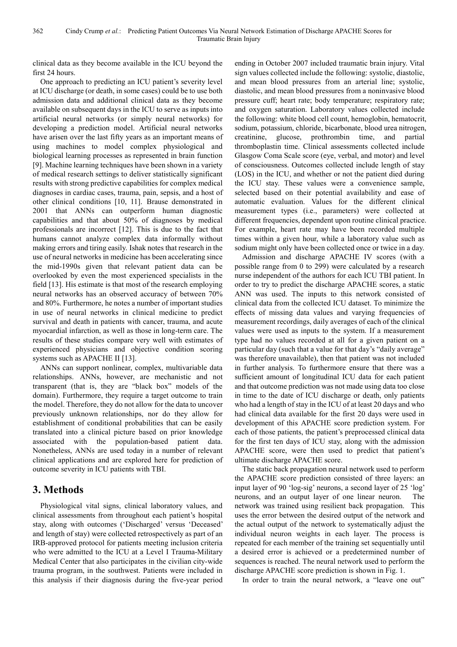clinical data as they become available in the ICU beyond the first 24 hours.

One approach to predicting an ICU patient's severity level at ICU discharge (or death, in some cases) could be to use both admission data and additional clinical data as they become available on subsequent days in the ICU to serve as inputs into artificial neural networks (or simply neural networks) for developing a prediction model. Artificial neural networks have arisen over the last fifty years as an important means of using machines to model complex physiological and biological learning processes as represented in brain function [9]. Machine learning techniques have been shown in a variety of medical research settings to deliver statistically significant results with strong predictive capabilities for complex medical diagnoses in cardiac cases, trauma, pain, sepsis, and a host of other clinical conditions [10, 11]. Brause demonstrated in 2001 that ANNs can outperform human diagnostic capabilities and that about 50% of diagnoses by medical professionals are incorrect [12]. This is due to the fact that humans cannot analyze complex data informally without making errors and tiring easily. Ishak notes that research in the use of neural networks in medicine has been accelerating since the mid-1990s given that relevant patient data can be overlooked by even the most experienced specialists in the field [13]. His estimate is that most of the research employing neural networks has an observed accuracy of between 70% and 80%. Furthermore, he notes a number of important studies in use of neural networks in clinical medicine to predict survival and death in patients with cancer, trauma, and acute myocardial infarction, as well as those in long-term care. The results of these studies compare very well with estimates of experienced physicians and objective condition scoring systems such as APACHE II [13].

ANNs can support nonlinear, complex, multivariable data relationships. ANNs, however, are mechanistic and not transparent (that is, they are "black box" models of the domain). Furthermore, they require a target outcome to train the model. Therefore, they do not allow for the data to uncover previously unknown relationships, nor do they allow for establishment of conditional probabilities that can be easily translated into a clinical picture based on prior knowledge associated with the population-based patient data. Nonetheless, ANNs are used today in a number of relevant clinical applications and are explored here for prediction of outcome severity in ICU patients with TBI.

## **3. Methods**

Physiological vital signs, clinical laboratory values, and clinical assessments from throughout each patient's hospital stay, along with outcomes ('Discharged' versus 'Deceased' and length of stay) were collected retrospectively as part of an IRB-approved protocol for patients meeting inclusion criteria who were admitted to the ICU at a Level I Trauma-Military Medical Center that also participates in the civilian city-wide trauma program, in the southwest. Patients were included in this analysis if their diagnosis during the five-year period ending in October 2007 included traumatic brain injury. Vital sign values collected include the following: systolic, diastolic, and mean blood pressures from an arterial line; systolic, diastolic, and mean blood pressures from a noninvasive blood pressure cuff; heart rate; body temperature; respiratory rate; and oxygen saturation. Laboratory values collected include the following: white blood cell count, hemoglobin, hematocrit, sodium, potassium, chloride, bicarbonate, blood urea nitrogen, creatinine, glucose, prothrombin time, and partial thromboplastin time. Clinical assessments collected include Glasgow Coma Scale score (eye, verbal, and motor) and level of consciousness. Outcomes collected include length of stay (LOS) in the ICU, and whether or not the patient died during the ICU stay. These values were a convenience sample, selected based on their potential availability and ease of automatic evaluation. Values for the different clinical measurement types (i.e., parameters) were collected at different frequencies, dependent upon routine clinical practice. For example, heart rate may have been recorded multiple times within a given hour, while a laboratory value such as sodium might only have been collected once or twice in a day.

Admission and discharge APACHE IV scores (with a possible range from 0 to 299) were calculated by a research nurse independent of the authors for each ICU TBI patient. In order to try to predict the discharge APACHE scores, a static ANN was used. The inputs to this network consisted of clinical data from the collected ICU dataset. To minimize the effects of missing data values and varying frequencies of measurement recordings, daily averages of each of the clinical values were used as inputs to the system. If a measurement type had no values recorded at all for a given patient on a particular day (such that a value for that day's "daily average" was therefore unavailable), then that patient was not included in further analysis. To furthermore ensure that there was a sufficient amount of longitudinal ICU data for each patient and that outcome prediction was not made using data too close in time to the date of ICU discharge or death, only patients who had a length of stay in the ICU of at least 20 days and who had clinical data available for the first 20 days were used in development of this APACHE score prediction system. For each of those patients, the patient's preprocessed clinical data for the first ten days of ICU stay, along with the admission APACHE score, were then used to predict that patient's ultimate discharge APACHE score.

The static back propagation neural network used to perform the APACHE score prediction consisted of three layers: an input layer of 90 'log-sig' neurons, a second layer of 25 'log' neurons, and an output layer of one linear neuron. The network was trained using resilient back propagation. This uses the error between the desired output of the network and the actual output of the network to systematically adjust the individual neuron weights in each layer. The process is repeated for each member of the training set sequentially until a desired error is achieved or a predetermined number of sequences is reached. The neural network used to perform the discharge APACHE score prediction is shown in Fig. 1.

In order to train the neural network, a "leave one out"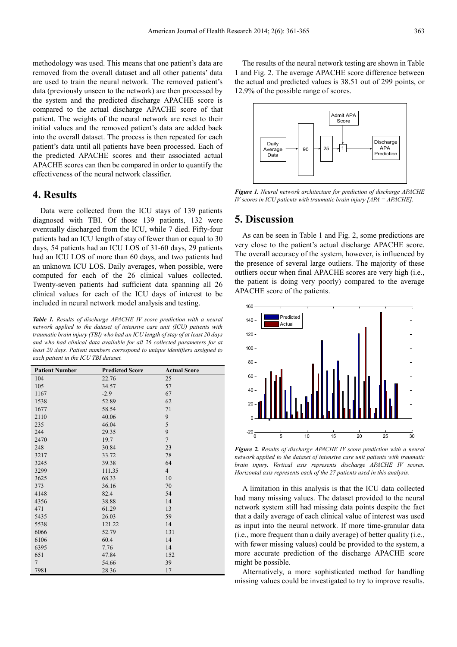methodology was used. This means that one patient's data are removed from the overall dataset and all other patients' data are used to train the neural network. The removed patient's data (previously unseen to the network) are then processed by the system and the predicted discharge APACHE score is compared to the actual discharge APACHE score of that patient. The weights of the neural network are reset to their initial values and the removed patient's data are added back into the overall dataset. The process is then repeated for each patient's data until all patients have been processed. Each of the predicted APACHE scores and their associated actual APACHE scores can then be compared in order to quantify the effectiveness of the neural network classifier.

#### **4. Results**

Data were collected from the ICU stays of 139 patients diagnosed with TBI. Of those 139 patients, 132 were eventually discharged from the ICU, while 7 died. Fifty-four patients had an ICU length of stay of fewer than or equal to 30 days, 54 patients had an ICU LOS of 31-60 days, 29 patients had an ICU LOS of more than 60 days, and two patients had an unknown ICU LOS. Daily averages, when possible, were computed for each of the 26 clinical values collected. Twenty-seven patients had sufficient data spanning all 26 clinical values for each of the ICU days of interest to be included in neural network model analysis and testing.

*Table 1. Results of discharge APACHE IV score prediction with a neural network applied to the dataset of intensive care unit (ICU) patients with traumatic brain injury (TBI) who had an ICU length of stay of at least 20 days and who had clinical data available for all 26 collected parameters for at least 20 days. Patient numbers correspond to unique identifiers assigned to each patient in the ICU TBI dataset.* 

| <b>Patient Number</b> | <b>Predicted Score</b> | <b>Actual Score</b> |
|-----------------------|------------------------|---------------------|
| 104                   | 22.76                  | 25                  |
| 105                   | 34.57                  | 57                  |
| 1167                  | $-2.9$                 | 67                  |
| 1538                  | 52.89                  | 62                  |
| 1677                  | 58.54                  | 71                  |
| 2110                  | 40.06                  | 9                   |
| 235                   | 46.04                  | 5                   |
| 244                   | 29.35                  | 9                   |
| 2470                  | 19.7                   | $\overline{7}$      |
| 248                   | 30.84                  | 23                  |
| 3217                  | 33.72                  | 78                  |
| 3245                  | 39.38                  | 64                  |
| 3299                  | 111.35                 | $\overline{4}$      |
| 3625                  | 68.33                  | 10                  |
| 373                   | 36.16                  | 70                  |
| 4148                  | 82.4                   | 54                  |
| 4356                  | 38.88                  | 14                  |
| 471                   | 61.29                  | 13                  |
| 5435                  | 26.03                  | 59                  |
| 5538                  | 121.22                 | 14                  |
| 6066                  | 52.79                  | 131                 |
| 6106                  | 60.4                   | 14                  |
| 6395                  | 7.76                   | 14                  |
| 651                   | 47.84                  | 152                 |
| $\overline{7}$        | 54.66                  | 39                  |
| 7981                  | 28.36                  | 17                  |

The results of the neural network testing are shown in Table 1 and Fig. 2. The average APACHE score difference between the actual and predicted values is 38.51 out of 299 points, or 12.9% of the possible range of scores.



*Figure 1. Neural network architecture for prediction of discharge APACHE IV scores in ICU patients with traumatic brain injury [APA = APACHE].* 

#### **5. Discussion**

As can be seen in Table 1 and Fig. 2, some predictions are very close to the patient's actual discharge APACHE score. The overall accuracy of the system, however, is influenced by the presence of several large outliers. The majority of these outliers occur when final APACHE scores are very high (i.e., the patient is doing very poorly) compared to the average APACHE score of the patients.



*Figure 2. Results of discharge APACHE IV score prediction with a neural network applied to the dataset of intensive care unit patients with traumatic brain injury. Vertical axis represents discharge APACHE IV scores. Horizontal axis represents each of the 27 patients used in this analysis.* 

A limitation in this analysis is that the ICU data collected had many missing values. The dataset provided to the neural network system still had missing data points despite the fact that a daily average of each clinical value of interest was used as input into the neural network. If more time-granular data (i.e., more frequent than a daily average) of better quality (i.e., with fewer missing values) could be provided to the system, a more accurate prediction of the discharge APACHE score might be possible.

Alternatively, a more sophisticated method for handling missing values could be investigated to try to improve results.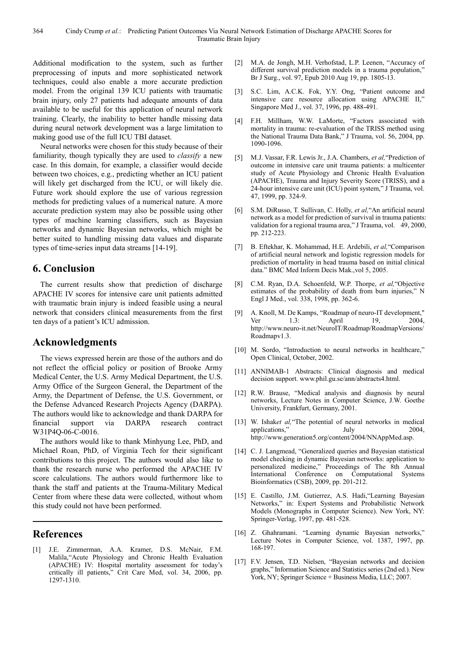Additional modification to the system, such as further preprocessing of inputs and more sophisticated network techniques, could also enable a more accurate prediction model. From the original 139 ICU patients with traumatic brain injury, only 27 patients had adequate amounts of data available to be useful for this application of neural network training. Clearly, the inability to better handle missing data during neural network development was a large limitation to making good use of the full ICU TBI dataset.

Neural networks were chosen for this study because of their familiarity, though typically they are used to *classify* a new case. In this domain, for example, a classifier would decide between two choices, e.g., predicting whether an ICU patient will likely get discharged from the ICU, or will likely die. Future work should explore the use of various regression methods for predicting values of a numerical nature. A more accurate prediction system may also be possible using other types of machine learning classifiers, such as Bayesian networks and dynamic Bayesian networks, which might be better suited to handling missing data values and disparate types of time-series input data streams [14-19].

# **6. Conclusion**

The current results show that prediction of discharge APACHE IV scores for intensive care unit patients admitted with traumatic brain injury is indeed feasible using a neural network that considers clinical measurements from the first ten days of a patient's ICU admission.

## **Acknowledgments**

The views expressed herein are those of the authors and do not reflect the official policy or position of Brooke Army Medical Center, the U.S. Army Medical Department, the U.S. Army Office of the Surgeon General, the Department of the Army, the Department of Defense, the U.S. Government, or the Defense Advanced Research Projects Agency (DARPA). The authors would like to acknowledge and thank DARPA for financial support via DARPA research contract W31P4Q-06-C-0016.

The authors would like to thank Minhyung Lee, PhD, and Michael Roan, PhD, of Virginia Tech for their significant contributions to this project. The authors would also like to thank the research nurse who performed the APACHE IV score calculations. The authors would furthermore like to thank the staff and patients at the Trauma-Military Medical Center from where these data were collected, without whom this study could not have been performed.

## **References**

[1] J.E. Zimmerman, A.A. Kramer, D.S. McNair, F.M. Malila,"Acute Physiology and Chronic Health Evaluation (APACHE) IV: Hospital mortality assessment for today's critically ill patients," Crit Care Med, vol. 34, 2006, pp. 1297-1310.

- [2] M.A. de Jongh, M.H. Verhofstad, L.P. Leenen, "Accuracy of different survival prediction models in a trauma population," Br J Surg., vol. 97, Epub 2010 Aug 19, pp. 1805-13.
- [3] S.C. Lim, A.C.K. Fok, Y.Y. Ong, "Patient outcome and intensive care resource allocation using APACHE II," Singapore Med J., vol. 37, 1996, pp. 488-491.
- [4] F.H. Millham, W.W. LaMorte, "Factors associated with mortality in trauma: re-evaluation of the TRISS method using the National Trauma Data Bank," J Trauma, vol. 56, 2004, pp. 1090-1096.
- [5] M.J. Vassar, F.R. Lewis Jr., J.A. Chambers, *et al,*"Prediction of outcome in intensive care unit trauma patients: a multicenter study of Acute Physiology and Chronic Health Evaluation (APACHE), Trauma and Injury Severity Score (TRISS), and a 24-hour intensive care unit (ICU) point system," J Trauma, vol. 47, 1999, pp. 324-9.
- [6] S.M. DiRusso, T. Sullivan, C. Holly, *et al,*"An artificial neural network as a model for prediction of survival in trauma patients: validation for a regional trauma area," J Trauma, vol. 49, 2000, pp. 212-223.
- [7] B. Eftekhar, K. Mohammad, H.E. Ardebili, *et al,*"Comparison of artificial neural network and logistic regression models for prediction of mortality in head trauma based on initial clinical data." BMC Med Inform Decis Mak.,vol 5, 2005.
- [8] C.M. Ryan, D.A. Schoenfeld, W.P. Thorpe, *et al,*"Objective estimates of the probability of death from burn injuries," N Engl J Med., vol. 338, 1998, pp. 362-6.
- [9] A. Knoll, M. De Kamps, "Roadmap of neuro-IT development," Ver 1.3: April 19, 2004, http://www.neuro-it.net/NeuroIT/Roadmap/RoadmapVersions/ Roadmapv1.3.
- [10] M. Sordo, "Introduction to neural networks in healthcare," Open Clinical, October, 2002.
- [11] ANNIMAB-1 Abstracts: Clinical diagnosis and medical decision support. www.phil.gu.se/ann/abstracts4.html.
- [12] R.W. Brause, "Medical analysis and diagnosis by neural networks, Lecture Notes in Computer Science, J.W. Goethe University, Frankfurt, Germany, 2001.
- [13] W. Ishaket al, "The potential of neural networks in medical applications," July 2004, http://www.generation5.org/content/2004/NNAppMed.asp.
- [14] C. J. Langmead, "Generalized queries and Bayesian statistical model checking in dynamic Bayesian networks: application to personalized medicine," Proceedings of The 8th Annual International Conference on Computational Systems Bioinformatics (CSB), 2009, pp. 201-212.
- [15] E. Castillo, J.M. Gutierrez, A.S. Hadi,"Learning Bayesian Networks," in: Expert Systems and Probabilistic Network Models (Monographs in Computer Science). New York, NY: Springer-Verlag, 1997, pp. 481-528.
- [16] Z. Ghahramani. "Learning dynamic Bayesian networks," Lecture Notes in Computer Science, vol. 1387, 1997, pp. 168-197.
- [17] F.V. Jensen, T.D. Nielsen, "Bayesian networks and decision graphs," Information Science and Statistics series (2nd ed.). New York, NY; Springer Science + Business Media, LLC; 2007.